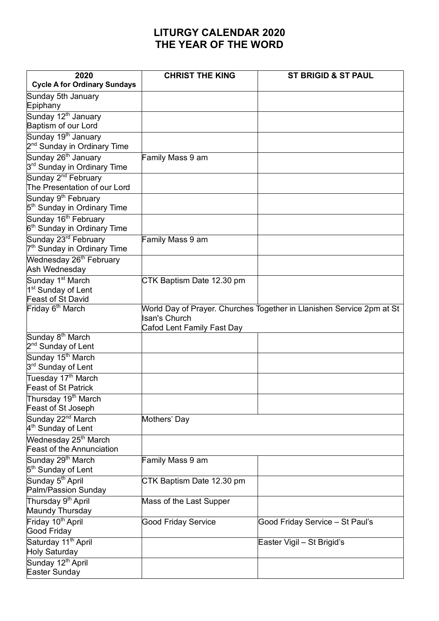## **LITURGY CALENDAR 2020 THE YEAR OF THE WORD**

| 2020<br><b>Cycle A for Ordinary Sundays</b>                                         | <b>CHRIST THE KING</b>                             | <b>ST BRIGID &amp; ST PAUL</b>                                        |
|-------------------------------------------------------------------------------------|----------------------------------------------------|-----------------------------------------------------------------------|
|                                                                                     |                                                    |                                                                       |
| Sunday 5th January<br>Epiphany                                                      |                                                    |                                                                       |
| Sunday 12 <sup>th</sup> January<br>Baptism of our Lord                              |                                                    |                                                                       |
| Sunday 19 <sup>th</sup> January<br>2 <sup>nd</sup> Sunday in Ordinary Time          |                                                    |                                                                       |
| Sunday 26 <sup>th</sup> January<br>3 <sup>rd</sup> Sunday in Ordinary Time          | Family Mass 9 am                                   |                                                                       |
| Sunday 2 <sup>nd</sup> February<br>The Presentation of our Lord                     |                                                    |                                                                       |
| Sunday 9 <sup>th</sup> February<br>5 <sup>th</sup> Sunday in Ordinary Time          |                                                    |                                                                       |
| Sunday 16 <sup>th</sup> February<br>6 <sup>th</sup> Sunday in Ordinary Time         |                                                    |                                                                       |
| Sunday 23 <sup>rd</sup> February<br>7 <sup>th</sup> Sunday in Ordinary Time         | Family Mass 9 am                                   |                                                                       |
| Wednesday 26 <sup>th</sup> February<br>Ash Wednesday                                |                                                    |                                                                       |
| Sunday 1 <sup>st</sup> March<br>1 <sup>st</sup> Sunday of Lent<br>Feast of St David | CTK Baptism Date 12.30 pm                          |                                                                       |
| Friday 6 <sup>th</sup> March                                                        | <b>Isan's Church</b><br>Cafod Lent Family Fast Day | World Day of Prayer. Churches Together in Llanishen Service 2pm at St |
| Sunday 8 <sup>th</sup> March<br>2 <sup>nd</sup> Sunday of Lent                      |                                                    |                                                                       |
| Sunday 15 <sup>th</sup> March<br>3 <sup>rd</sup> Sunday of Lent                     |                                                    |                                                                       |
| Tuesday 17 <sup>th</sup> March<br><b>Feast of St Patrick</b>                        |                                                    |                                                                       |
| Thursday 19 <sup>th</sup> March<br>Feast of St Joseph                               |                                                    |                                                                       |
| Sunday 22 <sup>nd</sup> March<br>4 <sup>th</sup> Sunday of Lent                     | Mothers' Day                                       |                                                                       |
| Wednesday 25 <sup>th</sup> March<br><b>Feast of the Annunciation</b>                |                                                    |                                                                       |
| Sunday 29 <sup>th</sup> March<br>5 <sup>th</sup> Sunday of Lent                     | Family Mass 9 am                                   |                                                                       |
| Sunday 5 <sup>th</sup> April<br>Palm/Passion Sunday                                 | CTK Baptism Date 12.30 pm                          |                                                                       |
| Thursday 9 <sup>th</sup> April<br>Maundy Thursday                                   | Mass of the Last Supper                            |                                                                       |
| Friday 10 <sup>th</sup> April<br>Good Friday                                        | <b>Good Friday Service</b>                         | Good Friday Service - St Paul's                                       |
| Saturday 11 <sup>th</sup> April<br>Holy Saturday                                    |                                                    | Easter Vigil - St Brigid's                                            |
| Sunday 12 <sup>th</sup> April<br>Easter Sunday                                      |                                                    |                                                                       |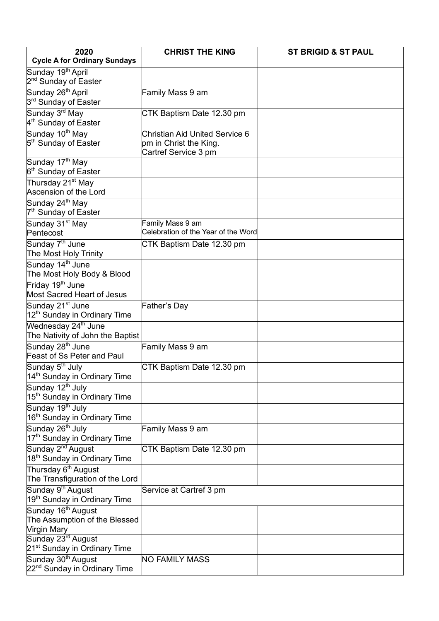| 2020                                                                | <b>CHRIST THE KING</b>                                  | <b>ST BRIGID &amp; ST PAUL</b> |
|---------------------------------------------------------------------|---------------------------------------------------------|--------------------------------|
| <b>Cycle A for Ordinary Sundays</b>                                 |                                                         |                                |
| Sunday 19 <sup>th</sup> April                                       |                                                         |                                |
| 2 <sup>nd</sup> Sunday of Easter                                    |                                                         |                                |
| Sunday 26 <sup>th</sup> April                                       | Family Mass 9 am                                        |                                |
| 3 <sup>rd</sup> Sunday of Easter                                    |                                                         |                                |
| Sunday 3 <sup>rd</sup> May                                          | CTK Baptism Date 12.30 pm                               |                                |
| 4 <sup>th</sup> Sunday of Easter                                    |                                                         |                                |
| Sunday 10 <sup>th</sup> May                                         | <b>Christian Aid United Service 6</b>                   |                                |
| 5 <sup>th</sup> Sunday of Easter                                    | pm in Christ the King.                                  |                                |
|                                                                     | Cartref Service 3 pm                                    |                                |
| Sunday 17 <sup>th</sup> May                                         |                                                         |                                |
| 6 <sup>th</sup> Sunday of Easter                                    |                                                         |                                |
| Thursday 21 <sup>st</sup> May                                       |                                                         |                                |
| Ascension of the Lord                                               |                                                         |                                |
| Sunday 24 <sup>th</sup> May                                         |                                                         |                                |
| 7 <sup>th</sup> Sunday of Easter                                    |                                                         |                                |
| Sunday 31 <sup>st</sup> May                                         | Family Mass 9 am<br>Celebration of the Year of the Word |                                |
| Pentecost                                                           |                                                         |                                |
| Sunday 7 <sup>th</sup> June                                         | CTK Baptism Date 12.30 pm                               |                                |
| The Most Holy Trinity                                               |                                                         |                                |
| Sunday 14 <sup>th</sup> June                                        |                                                         |                                |
| The Most Holy Body & Blood                                          |                                                         |                                |
| Friday 19 <sup>th</sup> June                                        |                                                         |                                |
| Most Sacred Heart of Jesus                                          |                                                         |                                |
| Sunday 21 <sup>st</sup> June                                        | <b>Father's Day</b>                                     |                                |
| 12 <sup>th</sup> Sunday in Ordinary Time                            |                                                         |                                |
| Wednesday 24 <sup>th</sup> June<br>The Nativity of John the Baptist |                                                         |                                |
| Sunday 28 <sup>th</sup> June                                        | Family Mass 9 am                                        |                                |
| Feast of Ss Peter and Paul                                          |                                                         |                                |
| Sunday 5 <sup>th</sup> July                                         | CTK Baptism Date 12.30 pm                               |                                |
| 14 <sup>th</sup> Sunday in Ordinary Time                            |                                                         |                                |
| Sunday 12 <sup>th</sup> July                                        |                                                         |                                |
| 15 <sup>th</sup> Sunday in Ordinary Time                            |                                                         |                                |
| Sunday 19 <sup>th</sup> July                                        |                                                         |                                |
| 16 <sup>th</sup> Sunday in Ordinary Time                            |                                                         |                                |
| Sunday 26 <sup>th</sup> July                                        | Family Mass 9 am                                        |                                |
| 17 <sup>th</sup> Sunday in Ordinary Time                            |                                                         |                                |
| Sunday 2 <sup>nd</sup> August                                       | CTK Baptism Date 12.30 pm                               |                                |
| 18 <sup>th</sup> Sunday in Ordinary Time                            |                                                         |                                |
| Thursday 6 <sup>th</sup> August                                     |                                                         |                                |
| The Transfiguration of the Lord                                     |                                                         |                                |
| Sunday 9 <sup>th</sup> August                                       | Service at Cartref 3 pm                                 |                                |
| 19 <sup>th</sup> Sunday in Ordinary Time                            |                                                         |                                |
| Sunday 16 <sup>th</sup> August                                      |                                                         |                                |
| The Assumption of the Blessed                                       |                                                         |                                |
| Virgin Mary                                                         |                                                         |                                |
| Sunday 23 <sup>rd</sup> August                                      |                                                         |                                |
| 21 <sup>st</sup> Sunday in Ordinary Time                            |                                                         |                                |
| Sunday 30 <sup>th</sup> August                                      | <b>NO FAMILY MASS</b>                                   |                                |
| 22 <sup>nd</sup> Sunday in Ordinary Time                            |                                                         |                                |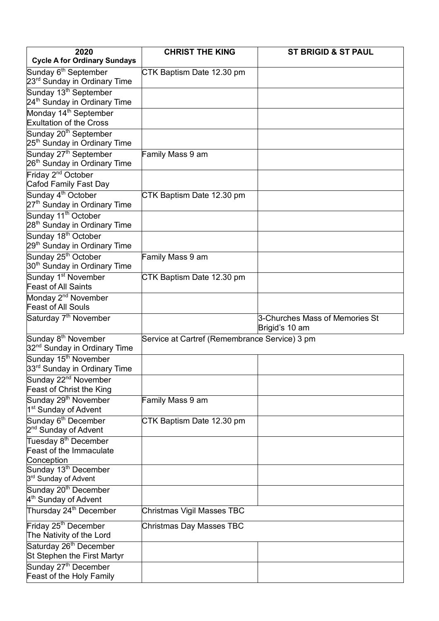| 2020                                                          | <b>CHRIST THE KING</b>                        | <b>ST BRIGID &amp; ST PAUL</b> |
|---------------------------------------------------------------|-----------------------------------------------|--------------------------------|
| <b>Cycle A for Ordinary Sundays</b>                           |                                               |                                |
| Sunday 6 <sup>th</sup> September                              | CTK Baptism Date 12.30 pm                     |                                |
| 23 <sup>rd</sup> Sunday in Ordinary Time                      |                                               |                                |
| Sunday 13 <sup>th</sup> September                             |                                               |                                |
| 24 <sup>th</sup> Sunday in Ordinary Time                      |                                               |                                |
| Monday 14 <sup>th</sup> September                             |                                               |                                |
| <b>Exultation of the Cross</b>                                |                                               |                                |
| Sunday 20 <sup>th</sup> September                             |                                               |                                |
| 25 <sup>th</sup> Sunday in Ordinary Time                      |                                               |                                |
| Sunday 27 <sup>th</sup> September                             | Family Mass 9 am                              |                                |
| 26 <sup>th</sup> Sunday in Ordinary Time                      |                                               |                                |
| Friday 2 <sup>nd</sup> October                                |                                               |                                |
| Cafod Family Fast Day                                         |                                               |                                |
| Sunday 4 <sup>th</sup> October                                | CTK Baptism Date 12.30 pm                     |                                |
| 27 <sup>th</sup> Sunday in Ordinary Time                      |                                               |                                |
| Sunday 11 <sup>th</sup> October                               |                                               |                                |
| 28 <sup>th</sup> Sunday in Ordinary Time                      |                                               |                                |
| Sunday 18 <sup>th</sup> October                               |                                               |                                |
| 29 <sup>th</sup> Sunday in Ordinary Time                      |                                               |                                |
| Sunday 25 <sup>th</sup> October                               | Family Mass 9 am                              |                                |
| 30 <sup>th</sup> Sunday in Ordinary Time                      |                                               |                                |
| Sunday 1 <sup>st</sup> November<br><b>Feast of All Saints</b> | CTK Baptism Date 12.30 pm                     |                                |
|                                                               |                                               |                                |
| Monday 2 <sup>nd</sup> November<br><b>Feast of All Souls</b>  |                                               |                                |
| Saturday 7 <sup>th</sup> November                             |                                               | 3-Churches Mass of Memories St |
|                                                               |                                               | Brigid's 10 am                 |
| Sunday 8 <sup>th</sup> November                               | Service at Cartref (Remembrance Service) 3 pm |                                |
| 32 <sup>nd</sup> Sunday in Ordinary Time                      |                                               |                                |
| Sunday 15 <sup>th</sup> November                              |                                               |                                |
| 33 <sup>rd</sup> Sunday in Ordinary Time                      |                                               |                                |
| Sunday 22 <sup>nd</sup> November                              |                                               |                                |
| Feast of Christ the King                                      |                                               |                                |
| Sunday 29 <sup>th</sup> November                              | Family Mass 9 am                              |                                |
| 1 <sup>st</sup> Sunday of Advent                              |                                               |                                |
| Sunday 6 <sup>th</sup> December                               | CTK Baptism Date 12.30 pm                     |                                |
| 2 <sup>nd</sup> Sunday of Advent                              |                                               |                                |
| Tuesday 8 <sup>th</sup> December                              |                                               |                                |
| Feast of the Immaculate                                       |                                               |                                |
| Conception                                                    |                                               |                                |
| Sunday 13 <sup>th</sup> December                              |                                               |                                |
| 3 <sup>rd</sup> Sunday of Advent                              |                                               |                                |
| Sunday 20 <sup>th</sup> December                              |                                               |                                |
| 4 <sup>th</sup> Sunday of Advent                              |                                               |                                |
| Thursday 24 <sup>th</sup> December                            | Christmas Vigil Masses TBC                    |                                |
| Friday 25 <sup>th</sup> December                              | <b>Christmas Day Masses TBC</b>               |                                |
| The Nativity of the Lord                                      |                                               |                                |
| Saturday 26 <sup>th</sup> December                            |                                               |                                |
| St Stephen the First Martyr                                   |                                               |                                |
| Sunday 27 <sup>th</sup> December                              |                                               |                                |
| Feast of the Holy Family                                      |                                               |                                |